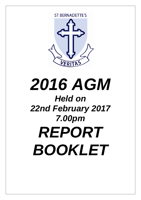

# *2016 AGM Held on 22nd February 2017 7.00pm REPORT BOOKLET*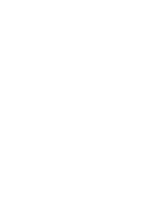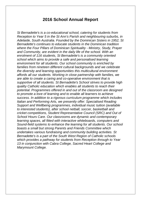# **2016 School Annual Report**

*St Bernadette's is a co-educational school, catering for students from Reception to Year 5 in the St Ann's Parish and neighbouring suburbs, in Adelaide, South Australia. Founded by the Dominican Sisters in 1952, St Bernadette's continues to educate students in the Dominican tradition where the Four Pillars of Dominican Spirituality - Ministry, Study, Prayer and Community, are evident in the daily life of the school. With an enrolment of 116 students, St Bernadette's is a community oriented school which aims to provide a safe and personalised learning environment for all students. Our school community is enriched by families from nineteen different cultural backgrounds and we celebrate the diversity and learning opportunities this multicultural environment affords all our students. Working in close partnership with families, we are able to create a caring and co-operative environment that is supportive of all students. St Bernadette's School strives to provide high quality Catholic education which enables all students to reach their potential. Programmes offered in and out of the classroom are designed to promote a love of learning and to enable all learners to achieve success. In addition to a rigorous curriculum programme which includes Italian and Performing Arts, we presently offer: Specialised Reading Support and Wellbeing programmes, individual music tuition (available to interested students), after school netball, soccer, basketball and cricket competitions, Student Representative Council (SRC) and Out of School Hours Care. Our classrooms are dynamic and contemporary learning spaces, all fitted with interactive whiteboards, computers and Sound-field systems to enhance the learning for all students. Our school boasts a small but strong Parents and Friends Committee which undertakes various fundraising and community building activities. St Bernadette's is a part of the South West Region of Catholic schools which provides a pathway for students from Reception through to Year 13 in conjunction with Cabra College, Sacred Heart College and Marymount College.*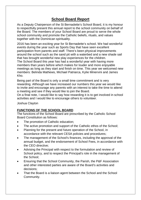# **School Board Report**

As a Deputy Chairperson of the St Bernadette's School Board, it is my honour to respectfully present this annual report to the school community on behalf of the Board. The members of your School Board are proud to serve the whole school community and promote the Catholic beliefs, rituals, and values together with the Dominican spirituality.

2016 has been an exciting year for St Bernadette's school. We had wonderful events during the year such as Sports Day that have seen excellent participation from parents and staff. There's been physical improvements around the school such as the sand pit with a waterbed and a new shade sail that has brought wonderful new play experiences for the children. The School Board this year has had a wonderful year with having more members than years before which makes for louder and more enjoyable meetings as long as they start and finish on time. This year we welcomed new members: Belinda Mathews, Michael Patriarca, Kylie Minervini and James Kho.

Being part of the Board is only a small time commitment and is very rewarding. Although we have increased our numbers this year we would like to invite and encourage any parents with an interest to take the time to attend a meeting and see if they would like to join the Board.

On a final note, I would like to say how rewarding it is to get involved in school activities and I would like to encourage others to volunteer.

Joshua Clayton

### **FUNCTIONS OF THE SCHOOL BOARD**

The functions of the School Board are prescribed by the Catholic School Board Constitution as follows:

- The promotion of Catholic education;
- The active promotion and support of the Catholic ethos of the School;
- Planning for the present and future operation of the School, in accordance with the relevant CESA policies and procedures;
- The management of the School's finances, including the approval of the annual budget, and the endorsement of School Fees, in accordance with the CEO directive;
- Advising the Principal with respect to the formulation and review of School policy, and to respect the Principal's role in the management of the School;
- Ensuring that the School Community, the Parish, the P&F Association and other interested parties are aware of the Board's activities and decisions;
- That the Board is a liaison agent between the School and the School Community.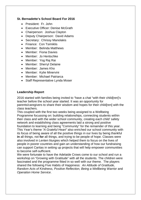#### **St. Bernadette's School Board For 2016**

- President: Fr. John
- Executive Officer: Denise McGrath
- Chairperson: Joshua Clayton
- Deputy Chairperson: David Adams
- Secretary: Chrissy Manolakis
- Finance: Con Tsimiklis
- Member: Belinda Matthews
- Member: Fiona Davies
- Member: Jo Hentschke
- Member: Yog Raj Rai
- Member: Sherryl Delaine
- Member: James Kho
- Member: Kylie Minervini
- Member: Michael Patriarca
- Staff Representative Lynda Moser

#### **Leadership Report**

2016 started with families being invited to "have a chat "with their child[ren]'s teacher before the school year started. It was an opportunity for parents/caregivers to share their wisdom and hopes for their child[ren] with the class teachers.

This coupled with the first two weeks being assigned to a Wellbeing Programme focussing on: building relationships, connecting students within their class and with the wider school community, creating each child' safety network and establishing class agreements laid a strong and positive foundation to learning and being "Community" for the remainder of this year. This Year's theme *"A Grateful Heart"* also enriched our school community with its focus of being aware of all the positive things in our lives by being thankful **in** all things, not **for** all things, and trying to be people of hope. Classes were also involved in Lenten liturgies which helped them to focus on the lives of people in poorer countries and gain an understanding of how our fundraising can support Caritas in setting up projects that will help empower communities to become self-sufficient.

We were fortunate to have the Adelaide Crows come to our school and run a workshop on "Growing with Gratitude" with all the students. The children were fascinated and the programme fitted in so well with our theme. The players shared the following Five Habits of Happiness: *An Attitude of Gratitude, Random Acts of Kindness, Positive Reflection, Being a Wellbeing Warrior and Operation Home Service*.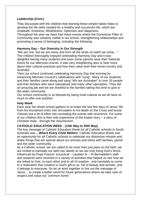# *Leadership (Cont.)*

They discussed with the children that learning these simple habits helps to develop the life skills needed for a healthy and successful life, which are Gratitude, Kindness, Mindfulness, Optimism and Happiness.

Throughout the year we have had many events where the Dominican Pillar of Community was certainly visible in our school, strengthening relationships and promoting a sense of belonging, including the following:

#### **Harmony Day – Our Diversity Is Our Strength**

"We are one, but we are many and from all the lands on earth we come…" The children thoroughly enjoyed celebrating Harmony Day and it was delightful having many students and even some parents wear their National Dress for our afternoon events. It was very enlightening also to hear more about their cultural practices and how they value both their home country and Australia.

Then our school continued celebrating Harmony Day that evening by enhancing Mitcham Council's celebrations with "song". Many of our students and their families came along and sang "*We are Australian*" to over 20 people and their families who were naturalised and many other spectators. They did an amazing job and we are thankful to the families taking this time to give to the wider community.

Our school community is so blessed by being multi-cultural as we all have so much to offer one another!

#### **Holy Week**

Each year the whole school gathers to re-enact the last few days of Jesus' life from his triumphant entry into Jerusalem to his death on the Cross and burial. Classes put a lot of effort into recreating the events with reverence. For some of our children this is their only experience of the Easter story – a story of Christian hope - through the resurrection!

#### **CATHOLIC EDUCATION WEEK - (13th May to 20th May)**

The key message of Catholic Education Week for all Catholic schools in South Australia was – *Where Every Child Matters.* Catholic Education Week was an opportunity for all Catholic schools to celebrate our distinctive mission and share things that are special about our schools and ethos with families, parish and the wider community.

As a Catholic school, we are called to do more than just pass on the faith: we are invited to translate our faith into deeds so we are truly living God's Word. Influenced by Pope Francis' encyclical – Laudato Si – St Bernadette's staff and students were involved in a variety of activities that helped us see how we are linked to God, to each other and to all of creation - and inevitably to come to a realisation that creation is God's gift to us, full of beauty and wonder, and it belongs to everyone. So let us work together to live out the message of Jesus… to create a better world for future generations where we take care of, respect and value our 'common home'.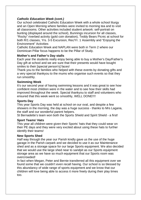#### *Catholic Education Week (cont.)*

Our school celebrated Catholic Education Week with a whole school liturgy and an Open Morning where families were invited to morning tea and to visit all classrooms. Other activities included student artwork: self-portrait on bunting (displayed around the school), Bunnings incursion for all classes, "Rocky" riverbed activity (gold coin donation), Teddy Bears Picnic at school for both R/1 classes, Yrs. 3-5 Excursion, Rec/Yr. 1 Assembly and "Enjoying the Environment" Activities

Catholic Education Week and NAPLAN were both in Term 2 where our Dominican Pillar focus happens to be the Pillar of Study.

#### **Mother's and Father's Day stalls**

Each year the students really enjoy being able to buy a Mother's Day/Father's Day gift at school and we are sure that their presents would have bought smiles to their [special person's] faces!

Thank you to the families who helped with these events by donating gifts and a very special thankyou to the mums who organise such events so that they run smoothly.

#### **Swimming Week**

It's our second year of having swimming lessons and it was great to see how confident most children were in the water and to see how their skills had improved throughout the week. Special thankyou to staff and volunteers who ensured that this week went so smoothly, WELL DONE!!!!

#### **Sports Day**

This year Sports Day was held at school on our oval, and despite a few showers in the morning, the day was a huge success - thanks to Mrs Lagana, the staff and our wonderful parent helpers.

St Bernadette's team won both the Sports Shield and Spirit Shield - a first!

#### **Sport Teams' Hats**

This year all children were given their Sports' hats that they could wear on their PE days and they were very excited about using these hats to further identify their teams!

#### **New Sports Shed**

Half way through the year our Parish kindly gave us the use of the huge garage in the Parish carpark and we decided to use it as our Maintenance shed and as a storage space for our large Sports equipment. We also decided that we would use the large shed near to sandpit as our Sports equipment storage area as we have so much equipment that our Sports room was overcrowded!

In fact when Megan, Peter and Bernie transferred all this equipment over we found some that we couldn't even recall having. Our school is so blessed by this abundancy of wide range of sports equipment and we know that our children will love being able to access it more freely during their play times too.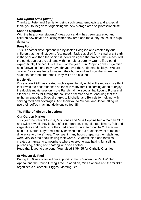#### *New Sports Shed (cont.)*

Thanks to Peter and Bernie for being such great removalists and a special thank you to Megan for organising the new storage area so professionally!!!

#### **Sandpit Upgrade**

With the help of our students' ideas our sandpit has been upgraded and children now have an exciting water play area and the cubby house is in high demand.

#### **Frog Pond**

This is another development, led by Jackie Hodgson and created by our children that has all students fascinated. Jackie applied for a small grant early in the year and then the senior students designed the project. They measured the pond, dug out the soil, and with the help of Jeremy Gramp [frog pond expert] finally finished it by the end of the year. Erin Coppins gave us goldfish as a farewell gift and they have thrived over the Christmas holidays. We are "waiting" for some frogs to make it their home and we know that when the students hear the first "croak" they will be so excited!!!

#### **Movie Night**

Once again P&F has created such a great family night at the movies. We think that it was the best response so far with many families coming along to enjoy the double movie session in the Parish hall. A special thankyou to Fiona and Stephen Davies for turning the hall into a theatre and for ensuring that the night ran smoothly. Special thanks to Michelle, and Belinda for helping with serving food and beverages. And thankyou to Michael and Jo for letting us use their coffee machine: delicious coffee!!!!!

#### **The Pillar of Ministry in action:**

#### **Our Garden Market**

This year the Year 3/4 class, Mrs Jones and Miss Coppins had a Garden Club and twice a week they looked after our garden. They planted flowers, fruit and vegetables and made sure they had enough water to grow. In 4<sup>th</sup> Term we held our "Market Day" and it really showed that our students want to make a difference to others' lives. They spent many hours preparing their stalls and were very excited about selling their wares. Students, staff and families created an amazing atmosphere where everyone was having fun selling, purchasing, eating and chatting with one another!

Huge thank you to everyone: You raised \$454.65 for Catholic Charities.

#### **St Vincent de Paul**

During 2016 we continued our support of the St Vincent de Paul Winter Appeal and the Parish Giving Tree. In addition, Miss Coppins and the Yr 3/4's organised a successful Biggest Morning Tea.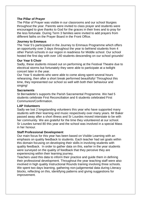#### **The Pillar of Prayer**

The Pillar of Prayer was visible in our classrooms and our school liturgies throughout the year. Parents were invited to class prayer and students were encouraged to give thanks to God for the graces in their lives and to pray for the less fortunate. During Term 3 families were invited to add prayers from different faiths on the Prayer Board in the Front Office.

#### **Journey to Emmaus**

The Year 5's participated in the Journey to Emmaus Programme which offers an opportunity over 3 days throughout the year to befriend students from 4 other Parish schools in our region in readiness for Middle school. Our school hosted the first day with over 140 students descending on our school grounds!

#### **Our Year 5 Choir**

Sadly, these students missed out on performing at the Festival Theatre due to electrical storms but fortunately they were able to participate at a twilight concert later in the year.

Our Year 5 students who were able to come along spent several hours rehearsing, then after a short break performed beautifully! Throughout this time, they represented our school so well with both their behaviour and singing!

#### **Sacraments**

St Bernadette's supports the Parish Sacramental Programme. We had 5 students celebrate First Reconciliation and 6 students celebrated First Communion/Confirmation.

#### **LAP Volunteers**

Sadly we lost 2 longstanding volunteers this year who have supported many students with their learning and music respectively over many years. Mr Baker passed away after a short illness and Sr Lourdes moved interstate to be with her community. We are grateful for the time they volunteered at our school. Sr Lourdes turned 80 this year and the school was involved in a special Mass in her honour.

#### **Staff Professional Development**

Our main focus for this year has been based on Visible Learning with an emphasis on quality feedback to students. Each teacher had set goals within this domain focusing on developing their skills in involving students with quality feedback. In order to gather data on this, earlier in the year students were surveyed on the quality of feedback that they perceive they are experiencing within their learning journey.

Teachers used this data to inform their practice and guide them in defining their professional development. Throughout the year teaching staff were also involved in high quality Instructional Rounds training involving three schools. We spent two days learning, gathering non-judgemental data during Literacy blocks, reflecting on this, identifying patterns and giving suggestions for improvement.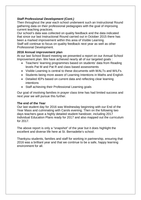# *Staff Professional Development (Cont.)*

Then throughout the year each school underwent such an Instructional Round gathering data on their professional pedagogies with the goal of improving current teaching practices.

Our school's data was collected on quality feedback and the data indicated that since our last Instructional Round carried out in October 2015 there has been a marked improvement within this area of Visible Learning.

Staff will continue to focus on quality feedback next year as well as other Professional Development.

#### **2016 Annual improvement plan**

At our last School Board meeting we presented a report on our Annual School Improvement plan. We have achieved nearly all of our targeted goals :

- Teachers' learning programmes based on students' data from Reading levels Pat M and Pat R and class based assessments
- Visible Learning is central to these documents with WALTs and WILFs.
- Students being more aware of Learning Intentions in Maths and English
- Detailed IEPs based on current data and reflecting clear learning intentions
- Staff achieving their Professional Learning goals

Our goal of involving families in prayer class time has had limited success and next year we will pursue this further.

### **The end of the Year**

Our last student day for 2016 was Wednesday beginning with our End of the Year Mass and culminating with Carols evening. Then on the following two days teachers gave a highly detailed student handover, including 2017 Individual Education Plans ready for 2017 and also mapped out the curriculum for 2017.

The above report is only a "snapshot" of the year but it does highlight the excellent and diverse life here at St. Bernadette's school.

Thankyou students, families and staff for working in partnership, ensuring that 2016 was a brilliant year and that we continue to be a safe, happy learning environment for all.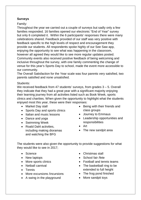# **Surveys**

#### Family:

Throughout the year we carried out a couple of surveys but sadly only a few families responded. 16 families opened our electronic "End of Year" survey but only 6 completed it. Within the 6 participants' responses there were many celebrations shared. Feedback provided of our staff was very positive with feedback specific to the high levels of respect and encouragement they provide our students. All respondents spoke highly of our See Saw app, enjoying the opportunity to see what was happening in the classroom, however all agreed they would like to see more regular updates posted. Community events also received positive feedback of being welcoming and inclusive throughout the survey, with one family commenting the change of venue for this year's Sports Day to school, made the event more accessible to our community.

The Overall Satisfaction for the Year scale was four parents very satisfied, two parents satisfied and none unsatisfied.

#### Students:

We received feedback from 47 students' surveys, from grades  $3 - 5$ . Overall they indicate that they had a great year with a significant majority enjoying their learning journey from all activities listed such as Book Week, sports clinics and charities. When given the opportunity to highlight what the students enjoyed most this year, these were their responses:

- Market Day stall
- Sports Day and sports clinics
- Italian and music lessons
- Dance and yoga
- Swimming Week
- Roald Dahl activities. including making dioramas and watching the BFG
- Being with their friends and class groups
- Journey to Emmaus
- Leadership opportunities and responsibilities
- Art
- The new sandpit area

The students were also given the opportunity to provide suggestions for what they would like to see in 2017;

- Science
- New laptops
- More sports clinics
- Netball carnival
- Tennis
- More excursions /incursions
- A swing in the playground
- Christmas stall
- School fair /fete
- Football and tennis teams
- The basketball ring to be extended to full height
- The frog pond finished
- More sandpit toys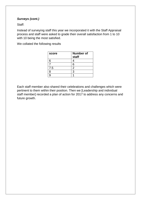#### *Surveys (cont.)*

Staff:

Instead of surveying staff this year we incorporated it with the Staff Appraisal process and staff were asked to grade their overall satisfaction from 1 to 10 with 10 being the most satisfied.

We collated the following results

| score | <b>Number of</b><br>staff |
|-------|---------------------------|
| 6     |                           |
|       | 6                         |
| 7.5   | 2                         |
| 8     | 3                         |
| a     |                           |

Each staff member also shared their celebrations and challenges which were pertinent to them within their position. Then we [Leadership and individual staff member] recorded a plan of action for 2017 to address any concerns and future growth.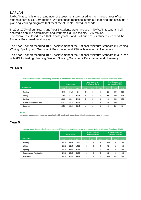#### **NAPLAN**

NAPLAN testing is one of a number of assessment tools used to track the progress of our students here at St. Bernadette's. We use these results to inform our teaching and assist us in planning learning programs that meet the students' individual needs.

In 2016 100% of our Year 3 and Year 5 students were involved in NAPLAN testing and all showed a genuine commitment and work ethic during the NAPLAN testing. The overall results indicated that in both years 3 and 5 all but 2 of our students reached the National Benchmark in all areas.

The Year 3 cohort recorded 100% achievement of the National Minimum Standard in Reading, Writing, Spelling and Grammar & Punctuation and 95% achievement in Numeracy.

The Year 5 cohort recorded 100% achievement of the National Minimum Standard in all areas of NAPLAN testing, Reading, Writing, Spelling,Grammar & Punctuation and Numeracy.

# **YEAR 3**

|                                |       | <b>Mean Score</b> |       |      | Mean Scores as<br><b>Proficiency Band</b> |      |      | % of Students who<br>achieved the NMS |      |
|--------------------------------|-------|-------------------|-------|------|-------------------------------------------|------|------|---------------------------------------|------|
| Component                      | 2014  | 2015              | 2016  | 2014 | 2015                                      | 2016 | 2014 | 2015                                  | 2016 |
| Reading                        | 434.9 | 451.6             | 424   | 5    | 5                                         | 4    | 95   | 100                                   | 100  |
| Writing                        | 379.9 | 412.1             | 412.4 | 4    | 4                                         | 4    | 89   | 100                                   | 100  |
| Spelling                       | 454.3 | 455.1             | 425.3 | 5    | 5                                         | 4    | 100  | 100                                   | 100  |
| <b>Grammar and Punctuation</b> | 430.2 | 419.4             | 436.5 | 5    | 4                                         | 5    | 100  | 100                                   | 95   |
| Numeracy                       | 408.2 | 403.2             | 383.6 | 4    | 4                                         | 4    | 100  | 94                                    | 95   |

#### **NOTE:**

Aggregate values are not reported for schools with less than 5 students contributing to the aggregate of interest.

### **Year 5**

School Mean Scores - Proficiency band and % of students who achieved at or above National Minimum Standards (NMS)

|                                | Mean Score |       |       | Mean Scores as<br><b>Proficiency Band</b> |      |      | % of Students who<br>achieved the NMS |      |      |
|--------------------------------|------------|-------|-------|-------------------------------------------|------|------|---------------------------------------|------|------|
| Component                      | 2014       | 2015  | 2016  | 2014                                      | 2015 | 2016 | 2014                                  | 2015 | 2016 |
| Reading                        | 492.2      | 493.6 | 545.1 | 6                                         | 6    | 7    | 100                                   | 91   | 100  |
| Writing                        | 447.4      | 443.7 | 491.5 | 5                                         | 5    | 6    | 79                                    | 82   | 100  |
| Spelling                       | 501.4      | 485.9 | 522.1 | 6                                         | 6    | 6    | 95                                    | 82   | 100  |
| <b>Grammar and Punctuation</b> | 497.8      | 453.5 | 545.3 | 6                                         | 5    | 7    | 89                                    | 91   | 100  |
| Numeracy                       | 486.5      | 467.9 | 512.8 | 6                                         | 5    | 6    | 100                                   | 100  | 100  |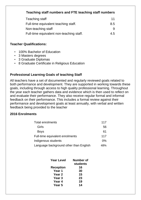# **Teaching staff numbers and FTE teaching staff numbers**

| Teaching staff                           | 11  |
|------------------------------------------|-----|
| Full-time equivalent teaching staff.     | 8.5 |
| Non-teaching staff                       |     |
| Full-time equivalent non-teaching staff. | 4.5 |

# **Teacher Qualifications:**

- 100% Bachelor of Education
- 3 Masters degrees
- 3 Graduate Diplomas
- 8 Graduate Certificate in Religious Education

# **Professional Learning Goals of teaching Staff**

All teachers have a set of documented and regularly reviewed goals related to both performance and development. They are supported in working towards these goals, including through access to high quality professional learning. Throughout the year each teacher gathers data and evidence which is then used to reflect on and evaluate their performance. They also receive regular formal and informal feedback on their performance. This includes a formal review against their performance and development goals at least annually, with verbal and written feedback being provided to the teacher

# **2016 Enrolments**

| <b>Total enrolments</b>                | 117   |
|----------------------------------------|-------|
| Girls                                  | 56    |
| <b>Boys</b>                            | 61    |
| Full-time equivalent enrolments        | 117   |
| Indigenous students                    | $0\%$ |
| Language background other than English | 48%   |

| <b>Year Level</b> | <b>Number of</b><br><b>students</b> |
|-------------------|-------------------------------------|
| <b>Reception</b>  | 16                                  |
| Year 1            | 30                                  |
| Year <sub>2</sub> | 15                                  |
| Year 3            | 23                                  |
| Year 4            | 19                                  |
| Year 5            | 14                                  |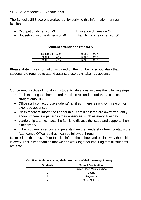# SES: St Bernadette' SES score is 98

The School's SES score is worked out by deriving this information from our families:

- Occupation dimension /3 Education dimension /3
- Household Income dimension /6 Family Income dimension /6

# **Student attendance rate 93%**

| Reception 93% |     | Year 3 | 93%    |
|---------------|-----|--------|--------|
| Year 1        | 91% | Year 4 | $94\%$ |
| Year 2        | 94% | Year 5 | 95%    |

**Please Note:** This information is based on the number of school days that students are required to attend against those days taken as absence.

Our current practice of monitoring students' absences involves the following steps

- Each morning teachers record the class roll and record the absences straight onto CESIS.
- Office staff contact those students' families if there is no known reason for extended absences
- Class teachers inform the Leadership Team if children are away frequently and/or if there is a pattern in their absences, such as every Tuesday.
- Leadership team contacts the family to discuss the issue and supports them if necessary.
- If the problem is serious and persists then the Leadership Team contacts the Attendance Officer so that it can be followed through.

It's excellent that most of our families inform the school and explain why their child is away. This is important so that we can work together ensuring that all students are safe.

| <b>Students</b> | <b>School Destination</b>  |
|-----------------|----------------------------|
|                 | Sacred Heart Middle School |
|                 | Cabra                      |
|                 | Marymount                  |
|                 | <b>Other Schools</b>       |

**Year Five Students starting their next phase of their Learning Journey…**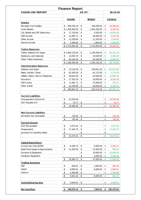| <b>Finance Report</b>                                 |                |                      |               |                          |        |                       |  |  |
|-------------------------------------------------------|----------------|----------------------|---------------|--------------------------|--------|-----------------------|--|--|
| <b>CASHFLOW REPORT</b>                                | 30-12-16       |                      |               |                          |        |                       |  |  |
|                                                       | <b>Actuals</b> |                      | <b>Budget</b> |                          |        | Variance              |  |  |
| <b>Income</b>                                         |                |                      |               |                          |        |                       |  |  |
| Receipts from families                                | \$             | 308,700.19           | \$            | 349,296.00               | -\$    | 40,595.81             |  |  |
| <b>Grant Monies</b>                                   |                | \$1,358,460.00       | \$            | 1,350,258.00             | \$     | 8,202.00              |  |  |
| LSL Reimb and CPF Allow ance                          | \$             | 17,753.00            | \$            | 4,100.00                 | \$     | 13,653.00             |  |  |
| CEO Income                                            | \$             | 21,892.71            | \$            | 26,000.00                | -\$    | 4,107.29              |  |  |
| Other Income                                          | \$             | 12,259.66            | \$            | 11,200.00                | \$     | 1,059.66              |  |  |
| Interest Income                                       | \$             | 3,496.83             | \$            | 1,000.00                 | \$     | 2,496.83              |  |  |
|                                                       |                | \$1,722,562.39       | \$            | 1,741,854.00             | -\$    | 19,291.61             |  |  |
| <b>Tuition Expenses</b>                               |                |                      |               |                          |        |                       |  |  |
| <b>Tuition Salaries incl Super</b>                    |                | \$1,084,125.50       | \$            | 1,139,438.20             | $-$ \$ | 55,312.70             |  |  |
| Stationery and materials                              | \$             | 13,045.70            | \$            | 16,529.00                | $-\$$  | 3,483.30              |  |  |
| <b>Other Tuition Expenses</b>                         | \$             | 83,184.40            | \$            | 94,168.00                | $-$ \$ | 10,983.60             |  |  |
|                                                       |                | \$1,180,355.60       | \$            | 1,250,135.20             | $-$ \$ | 69,779.60             |  |  |
| <b>Administration Expenses</b>                        |                |                      |               |                          |        |                       |  |  |
| Salaries and Super                                    | \$             | 13,118.49            | \$            | 148,641.29               | $-$ \$ | 135,522.80            |  |  |
| Maint, Garden, Clean                                  | \$             | 82,349.29            | \$            | 81,175.00                | \$     | 1,174.29              |  |  |
| Utilities, Rates, Rent & Telephone                    | \$             | 49,814.55            | \$            | 62,500.00                | $-$ \$ | 12,685.45             |  |  |
| <b>Insurance</b>                                      | \$             | 27,323.16            | \$            | 19,000.00                | \$     | 8,323.16              |  |  |
| <b>CEO Levies</b>                                     | \$             | 71,061.71            | \$            | 70,298.00                | \$     | 763.71                |  |  |
| Other Admin                                           | \$             | 42,195.99            | \$            | 50,600.00                | $-$ \$ | 8,404.01              |  |  |
|                                                       | \$             | 285,863.19           | \$            | 432,214.29               | $-$ \$ | 146,351.10            |  |  |
|                                                       |                |                      |               |                          |        |                       |  |  |
| <b>Current Liabilities</b>                            |                |                      |               |                          |        |                       |  |  |
| Overpayment Control A/c                               | \$             | 10,325.69            |               |                          | \$     | 10,325.69             |  |  |
| GST Payable A/C                                       | \$             | 70.77                | \$            | $\overline{\phantom{a}}$ | \$     | 70.77                 |  |  |
|                                                       | \$             | 10,396.46            | \$            |                          | \$     | 10,396.46             |  |  |
| Non Current Liabilities                               |                |                      |               |                          |        |                       |  |  |
| Enrolment fee refundable                              | \$             | 745.45               | \$            | -                        | \$     | 745.45                |  |  |
|                                                       | \$             | 745.45               | \$            |                          | \$     | 745.45                |  |  |
| <b>Current Assets</b>                                 |                |                      |               |                          |        |                       |  |  |
| <b>GST Receivables</b>                                | \$             | 2,072.44             | \$            |                          | \$     | 2,072.44              |  |  |
| Prepayments                                           | -\$            | 17,446.75            | \$            |                          | $-$ \$ | 17,446.75             |  |  |
| provision for Doubtful debts                          | \$             |                      | \$            |                          | \$     |                       |  |  |
|                                                       | -\$            | 15,374.31            | \$            |                          | $-$ \$ | 15,374.31             |  |  |
|                                                       |                |                      |               |                          |        |                       |  |  |
| <b>Capital Expenditure</b><br>Assets less than \$1000 | \$             | 8,160.72             | \$            | 5,000.00                 | \$     | 3,160.72              |  |  |
| Build Fixed equip & Improvements                      | \$             | 21,200.00            | \$            | 22,000.00                | $-$ \$ | 800.00                |  |  |
| Furniture & Equipment                                 |                |                      | \$            | 15,000.00                | $-$ \$ | 15,000.00             |  |  |
| Computer Equipment                                    |                |                      | \$            | 5,000.00                 | $-$ \$ |                       |  |  |
|                                                       | \$             | 29,360.72            | \$            | 47,000.00                | $-$ \$ | 5,000.00<br>17,639.28 |  |  |
| <b>Trading Accounts</b>                               |                |                      |               |                          |        |                       |  |  |
| P&F                                                   | \$             | 605.61               | \$            | 1,000.00                 | $-$ \$ | 394.39                |  |  |
| <b>OSHC</b>                                           | -\$            | 8,995.91             | -\$           | 6,000.00                 | -\$    | 2,995.91              |  |  |
| Uniform                                               | \$             |                      | \$            |                          | \$     |                       |  |  |
|                                                       | -\$            | 2,458.88<br>5,931.42 | $-$ \$        | 5,000.00                 | \$     | 2,458.88<br>931.42    |  |  |
|                                                       |                |                      |               |                          |        |                       |  |  |
| <b>Contra/Clearing A/cs</b>                           | \$             | 3,949.01             | \$            |                          | $-$ \$ | 3,949.01              |  |  |
|                                                       |                |                      |               |                          |        |                       |  |  |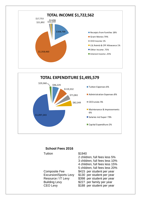



### **School Fees 2016**

#### Tuition \$1940

2 children, full fees less 5% 3 children, full fees less 10% 4 children, full fees less 15% 5 children, full fees less 20% Composite Fee \$415 per student per year Excursion/Sports Levy \$130 per student per year Resource / IT Levy \$398 per student per year Building Levy \$227 per family per year CEO Levy \$188 per student per year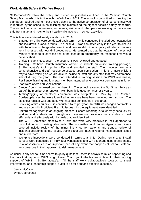#### **Work Health Safety & Welfare Report**

St Bernadette's follow the policy and procedure guidelines outlined in the Catholic Church Safety Manual which is in line with the WHS Act. 2012. The school is committed to meeting the standards required and to meet these objectives the active co-operation of all persons involved is required by the school in establishing and maintaining the highest possible safety standards. The aim is to ensure that workers, volunteers, visitors and other persons working on the site are safe from injury and risks to their health while involved in school activities.

This is how we achieved safety standards in 2016:

- Emergency drills were conducted each term Drills conducted included both evacuation and lockdown in various forms. The local MFS was contacted early in the year to discuss with the officer in charge what we did and how we did it in emergency situations. He was very impressed with our drill procedures. He pointed out that the location of the school was very close to all services and in the case of an emergency the response time would be very short.
- Critical Incident Response the document was reviewed and updated.
- Training Catholic Church Insurance offered to schools an online training package, St Bernadette's took up the offer and enrolled the staff. The modules are very comprehensive and staff receive certificates upon completion. This is a more efficient way to have training as we are able to include all staff and any staff that may commence school during the year. The staff attended a training session on WHS awareness, Resilience Training and four staff members attended emergency warden training in June.
- Staff were offered flu vaccinations.
- Cancer Council renewed our membership. The school reviewed the SunSmart Policy as part of the membership renewal. Membership is good for another 3 years.
- Testing/tagging of electrical equipment was completed in May by CC Reliable. Cords/appliances that were identified as an issue have been removed from school. The electrical register was updated. We have met compliance in this area.
- Servicing of fire equipment is conducted twice per year. In 2016 we changed contractors and are now with Proficient Fire. No issues with the equipment were identified.
- Hazard Management is an ongoing process. Hazard reporting is taken very seriously by workers and students and through our maintenance procedure we are able to deal efficiently and effectively with hazards that are identified.
- The WHS Committee meet twice a term and were very proactive in their approach to consultation and meeting standards. The committee work to an Agenda and items covered include review of the minor injury log for patterns and trends, review of incidents/accidents, safety issues, training analysis, hazard reports, maintenance issues and much more.
- Workplace inspections were conducted in terms 1 and 3. During terms 2 & 4 staff surveys were conducted on individual work spaces and WHS Management effectiveness. Risk assessments are an important part of any event that happens at school, staff are very proactive in their approach to risk management.

As usual in any school, time seems to go by quite fast – there is always so much happening and the more that happens - WHS is right there. Thank you to the leadership team for their ongoing support of WHS in St Bernadette's. All the staff work collaboratively towards continual improvement and leadership support is vital to an efficient and effective outcome.

 Jenny McCabe WHS Coordinator